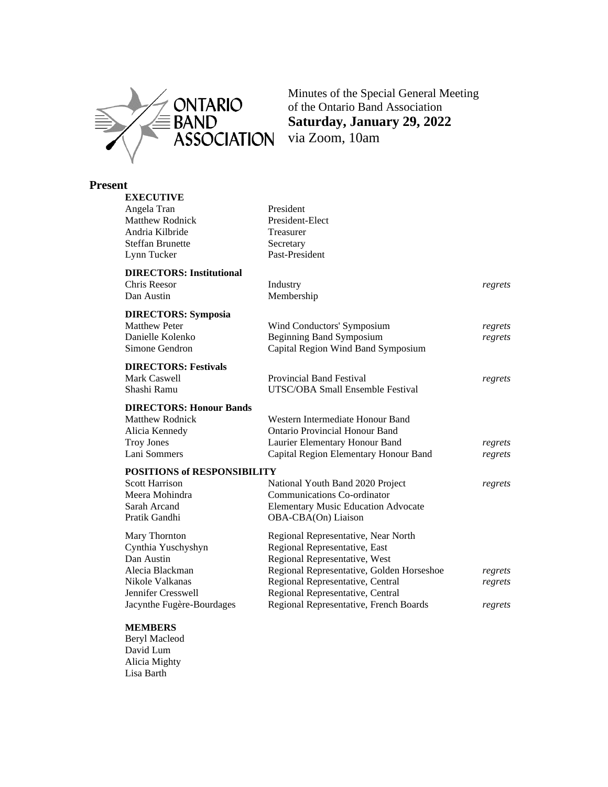

Minutes of the Special General Meeting of the Ontario Band Association **Saturday, January 29, 2022**

## **Present**

| <b>EXECUTIVE</b>                   |                                            |         |
|------------------------------------|--------------------------------------------|---------|
| Angela Tran                        | President                                  |         |
| <b>Matthew Rodnick</b>             | President-Elect                            |         |
| Andria Kilbride                    | Treasurer                                  |         |
| <b>Steffan Brunette</b>            | Secretary                                  |         |
| Lynn Tucker                        | Past-President                             |         |
| <b>DIRECTORS: Institutional</b>    |                                            |         |
| Chris Reesor                       | Industry                                   | regrets |
| Dan Austin                         | Membership                                 |         |
| <b>DIRECTORS: Symposia</b>         |                                            |         |
| <b>Matthew Peter</b>               | Wind Conductors' Symposium                 | regrets |
| Danielle Kolenko                   | <b>Beginning Band Symposium</b>            | regrets |
| Simone Gendron                     | Capital Region Wind Band Symposium         |         |
| <b>DIRECTORS: Festivals</b>        |                                            |         |
| Mark Caswell                       | <b>Provincial Band Festival</b>            | regrets |
| Shashi Ramu                        | UTSC/OBA Small Ensemble Festival           |         |
| <b>DIRECTORS: Honour Bands</b>     |                                            |         |
| <b>Matthew Rodnick</b>             | Western Intermediate Honour Band           |         |
| Alicia Kennedy                     | <b>Ontario Provincial Honour Band</b>      |         |
| <b>Troy Jones</b>                  | Laurier Elementary Honour Band             | regrets |
| Lani Sommers                       | Capital Region Elementary Honour Band      | regrets |
| <b>POSITIONS of RESPONSIBILITY</b> |                                            |         |
| <b>Scott Harrison</b>              | National Youth Band 2020 Project           | regrets |
| Meera Mohindra                     | <b>Communications Co-ordinator</b>         |         |
| Sarah Arcand                       | <b>Elementary Music Education Advocate</b> |         |
| Pratik Gandhi                      | OBA-CBA(On) Liaison                        |         |
| Mary Thornton                      | Regional Representative, Near North        |         |
| Cynthia Yuschyshyn                 | Regional Representative, East              |         |
| Dan Austin                         | Regional Representative, West              |         |
| Alecia Blackman                    | Regional Representative, Golden Horseshoe  | regrets |
| Nikole Valkanas                    | Regional Representative, Central           | regrets |
| Jennifer Cresswell                 | Regional Representative, Central           |         |
| Jacynthe Fugère-Bourdages          | Regional Representative, French Boards     | regrets |

#### **MEMBERS**

Beryl Macleod David Lum Alicia Mighty Lisa Barth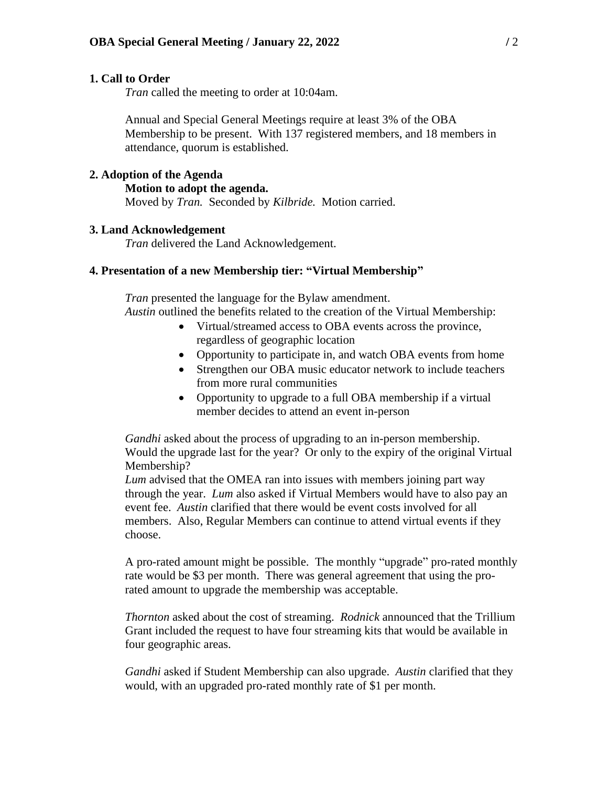#### **1. Call to Order**

*Tran* called the meeting to order at 10:04am.

Annual and Special General Meetings require at least 3% of the OBA Membership to be present. With 137 registered members, and 18 members in attendance, quorum is established.

# **2. Adoption of the Agenda**

#### **Motion to adopt the agenda.**

Moved by *Tran.* Seconded by *Kilbride.* Motion carried.

### **3. Land Acknowledgement**

*Tran* delivered the Land Acknowledgement.

### **4. Presentation of a new Membership tier: "Virtual Membership"**

*Tran* presented the language for the Bylaw amendment. *Austin* outlined the benefits related to the creation of the Virtual Membership:

- Virtual/streamed access to OBA events across the province, regardless of geographic location
- Opportunity to participate in, and watch OBA events from home
- Strengthen our OBA music educator network to include teachers from more rural communities
- Opportunity to upgrade to a full OBA membership if a virtual member decides to attend an event in-person

*Gandhi* asked about the process of upgrading to an in-person membership. Would the upgrade last for the year? Or only to the expiry of the original Virtual Membership?

*Lum* advised that the OMEA ran into issues with members joining part way through the year. *Lum* also asked if Virtual Members would have to also pay an event fee. *Austin* clarified that there would be event costs involved for all members. Also, Regular Members can continue to attend virtual events if they choose.

A pro-rated amount might be possible. The monthly "upgrade" pro-rated monthly rate would be \$3 per month. There was general agreement that using the prorated amount to upgrade the membership was acceptable.

*Thornton* asked about the cost of streaming. *Rodnick* announced that the Trillium Grant included the request to have four streaming kits that would be available in four geographic areas.

*Gandhi* asked if Student Membership can also upgrade. *Austin* clarified that they would, with an upgraded pro-rated monthly rate of \$1 per month.